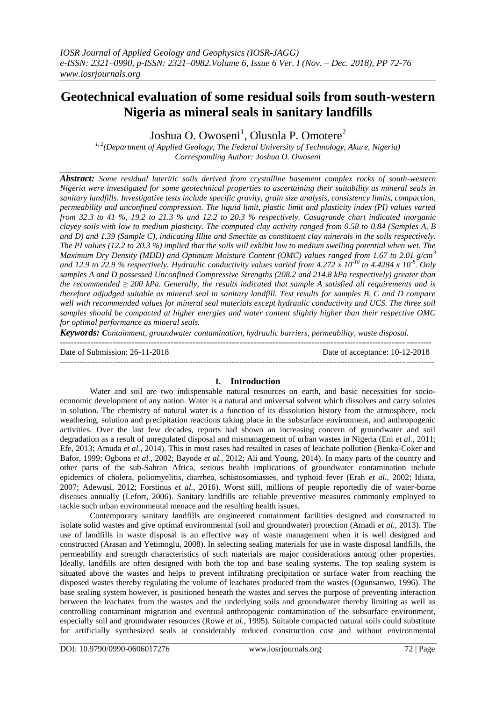# **Geotechnical evaluation of some residual soils from south-western Nigeria as mineral seals in sanitary landfills**

Joshua O. Owoseni<sup>1</sup>, Olusola P. Omotere<sup>2</sup>

*1, 2(Department of Applied Geology, The Federal University of Technology, Akure, Nigeria) Corresponding Author: Joshua O. Owoseni*

*Abstract: Some residual lateritic soils derived from crystalline basement complex rocks of south-western Nigeria were investigated for some geotechnical properties to ascertaining their suitability as mineral seals in sanitary landfills. Investigative tests include specific gravity, grain size analysis, consistency limits, compaction, permeability and unconfined compression. The liquid limit, plastic limit and plasticity index (PI) values varied from 32.3 to 41 %, 19.2 to 21.3 % and 12.2 to 20.3 % respectively. Casagrande chart indicated inorganic clayey soils with low to medium plasticity. The computed clay activity ranged from 0.58 to 0.84 (Samples A, B and D) and 1.39 (Sample C), indicating Illite and Smectite as constituent clay minerals in the soils respectively. The PI values (12.2 to 20.3 %) implied that the soils will exhibit low to medium swelling potential when wet. The Maximum Dry Density (MDD) and Optimum Moisture Content (OMC) values ranged from 1.67 to 2.01 g/cm<sup>3</sup> and 12.9 to 22.9 % respectively. Hydraulic conductivity values varied from 4.272 x 10-10 to 4.4284 x 10-8 . Only samples A and D possessed Unconfined Compressive Strengths (208.2 and 214.8 kPa respectively) greater than the recommended ≥ 200 kPa. Generally, the results indicated that sample A satisfied all requirements and is therefore adjudged suitable as mineral seal in sanitary landfill. Test results for samples B, C and D compare well with recommended values for mineral seal materials except hydraulic conductivity and UCS. The three soil samples should be compacted at higher energies and water content slightly higher than their respective OMC for optimal performance as mineral seals.*

*Keywords: Containment, groundwater contamination, hydraulic barriers, permeability, waste disposal.*

-------------------------------------------------------------------------------------------------------------------------------------- Date of Submission: 26-11-2018 Date of acceptance: 10-12-2018 ---------------------------------------------------------------------------------------------------------------------------------------

### **I. Introduction**

Water and soil are two indispensable natural resources on earth, and basic necessities for socioeconomic development of any nation. Water is a natural and universal solvent which dissolves and carry solutes in solution. The chemistry of natural water is a function of its dissolution history from the atmosphere, rock weathering, solution and precipitation reactions taking place in the subsurface environment, and anthropogenic activities. Over the last few decades, reports had shown an increasing concern of groundwater and soil degradation as a result of unregulated disposal and mismanagement of urban wastes in Nigeria (Eni *et al.,* 2011; Efe, 2013; Amuda *et al.,* 2014). This in most cases had resulted in cases of leachate pollution (Benka-Coker and Bafor, 1999; Ogbona *et al.,* 2002; Bayode *et al.,* 2012; Ali and Young, 2014). In many parts of the country and other parts of the sub-Sahran Africa, serious health implications of groundwater contamination include epidemics of cholera, poliomyelitis, diarrhea, schistosomiasses, and typhoid fever (Erah *et al.,* 2002; Idiata, 2007; Adewusi, 2012; Forstinus *et al.,* 2016). Worst still, millions of people reportedly die of water-borne diseases annually (Lefort, 2006). Sanitary landfills are reliable preventive measures commonly employed to tackle such urban environmental menace and the resulting health issues.

Contemporary sanitary landfills are engineered containment facilities designed and constructed to isolate solid wastes and give optimal environmental (soil and groundwater) protection (Amadi *et al.,* 2013). The use of landfills in waste disposal is an effective way of waste management when it is well designed and constructed (Arasan and Yetimoglu, 2008). In selecting sealing materials for use in waste disposal landfills, the permeability and strength characteristics of such materials are major considerations among other properties. Ideally, landfills are often designed with both the top and base sealing systems. The top sealing system is situated above the wastes and helps to prevent infiltrating precipitation or surface water from reaching the disposed wastes thereby regulating the volume of leachates produced from the wastes (Ogunsanwo, 1996). The base sealing system however, is positioned beneath the wastes and serves the purpose of preventing interaction between the leachates from the wastes and the underlying soils and groundwater thereby limiting as well as controlling contaminant migration and eventual anthropogenic contamination of the subsurface environment, especially soil and groundwater resources (Rowe *et al.,* 1995). Suitable compacted natural soils could substitute for artificially synthesized seals at considerably reduced construction cost and without environmental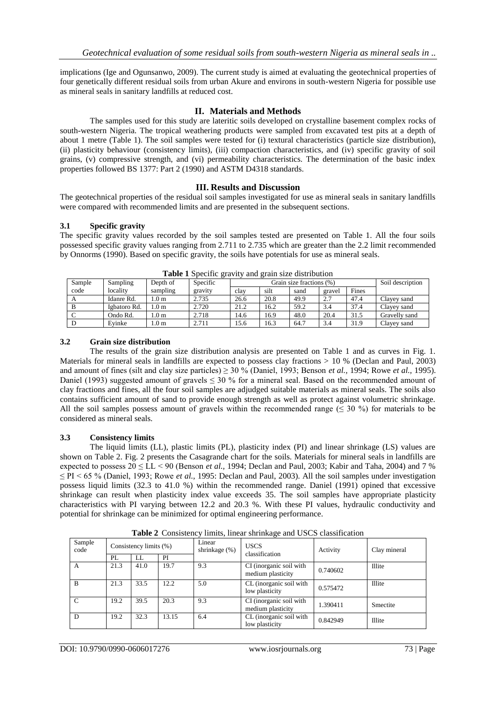implications (Ige and Ogunsanwo, 2009). The current study is aimed at evaluating the geotechnical properties of four genetically different residual soils from urban Akure and environs in south-western Nigeria for possible use as mineral seals in sanitary landfills at reduced cost.

### **II. Materials and Methods**

The samples used for this study are lateritic soils developed on crystalline basement complex rocks of south-western Nigeria. The tropical weathering products were sampled from excavated test pits at a depth of about 1 metre (Table 1). The soil samples were tested for (i) textural characteristics (particle size distribution), (ii) plasticity behaviour (consistency limits), (iii) compaction characteristics, and (iv) specific gravity of soil grains, (v) compressive strength, and (vi) permeability characteristics. The determination of the basic index properties followed BS 1377: Part 2 (1990) and ASTM D4318 standards.

### **III. Results and Discussion**

The geotechnical properties of the residual soil samples investigated for use as mineral seals in sanitary landfills were compared with recommended limits and are presented in the subsequent sections.

### **3.1 Specific gravity**

The specific gravity values recorded by the soil samples tested are presented on Table 1. All the four soils possessed specific gravity values ranging from 2.711 to 2.735 which are greater than the 2.2 limit recommended by Onnorms (1990). Based on specific gravity, the soils have potentials for use as mineral seals.

| <b>THOIC</b> I DUCCHIC GRATLY and grain SIZE distribution |              |                 |          |                          |      |      |        |       |                  |
|-----------------------------------------------------------|--------------|-----------------|----------|--------------------------|------|------|--------|-------|------------------|
| Sample                                                    | Sampling     | Depth of        | Specific | Grain size fractions (%) |      |      |        |       | Soil description |
| code                                                      | locality     | sampling        | gravity  | clav                     | silt | sand | gravel | Fines |                  |
|                                                           | Idanre Rd.   | .0 m            | 2.735    | 26.6                     | 20.8 | 49.9 | 2.7    | 47.4  | Clavey sand      |
|                                                           | Igbatoro Rd. | .0 <sub>m</sub> | 2.720    | 21.2                     | 16.2 | 59.2 | 3.4    | 37.4  | Clavey sand      |
|                                                           | Ondo Rd.     | .0 <sub>m</sub> | 2.718    | 14.6                     | 16.9 | 48.0 | 20.4   | 31.5  | Gravelly sand    |
|                                                           | Evinke       | .0 m            | 2.711    | 15.6                     | 16.3 | 64.7 | 3.4    | 31.9  | Clavey sand      |

**Table 1** Specific gravity and grain size distribution

### **3.2 Grain size distribution**

The results of the grain size distribution analysis are presented on Table 1 and as curves in Fig. 1. Materials for mineral seals in landfills are expected to possess clay fractions > 10 % (Declan and Paul, 2003) and amount of fines (silt and clay size particles)  $\geq$  30 % (Daniel, 1993; Benson *et al.*, 1994; Rowe *et al.*, 1995). Daniel (1993) suggested amount of gravels  $\leq$  30 % for a mineral seal. Based on the recommended amount of clay fractions and fines, all the four soil samples are adjudged suitable materials as mineral seals. The soils also contains sufficient amount of sand to provide enough strength as well as protect against volumetric shrinkage. All the soil samples possess amount of gravels within the recommended range  $(530\%)$  for materials to be considered as mineral seals.

### **3.3 Consistency limits**

The liquid limits (LL), plastic limits (PL), plasticity index (PI) and linear shrinkage (LS) values are shown on Table 2. Fig. 2 presents the Casagrande chart for the soils. Materials for mineral seals in landfills are expected to possess  $20 \leq LL < 90$  (Benson *et al.*, 1994; Declan and Paul, 2003; Kabir and Taha, 2004) and 7 % ≤ PI < 65 % (Daniel, 1993; Rowe *et al.,* 1995: Declan and Paul, 2003). All the soil samples under investigation possess liquid limits (32.3 to 41.0 %) within the recommended range. Daniel (1991) opined that excessive shrinkage can result when plasticity index value exceeds 35. The soil samples have appropriate plasticity characteristics with PI varying between 12.2 and 20.3 %. With these PI values, hydraulic conductivity and potential for shrinkage can be minimized for optimal engineering performance.

| Sample<br>code | Consistency limits (%) |      | Linear<br>shrinkage (%) | <b>USCS</b><br>classification | Activity                                     | Clay mineral |          |
|----------------|------------------------|------|-------------------------|-------------------------------|----------------------------------------------|--------------|----------|
|                | PL                     | LL   | PI                      |                               |                                              |              |          |
| A              | 21.3                   | 41.0 | 19.7                    | 9.3                           | CI (inorganic soil with<br>medium plasticity | 0.740602     | Illite   |
| B              | 21.3                   | 33.5 | 12.2                    | 5.0                           | CL (inorganic soil with<br>low plasticity    | 0.575472     | Illite   |
| $\mathcal{C}$  | 19.2                   | 39.5 | 20.3                    | 9.3                           | CI (inorganic soil with<br>medium plasticity | 1.390411     | Smectite |
| D              | 19.2                   | 32.3 | 13.15                   | 6.4                           | CL (inorganic soil with<br>low plasticity    | 0.842949     | Illite   |

**Table 2** Consistency limits, linear shrinkage and USCS classification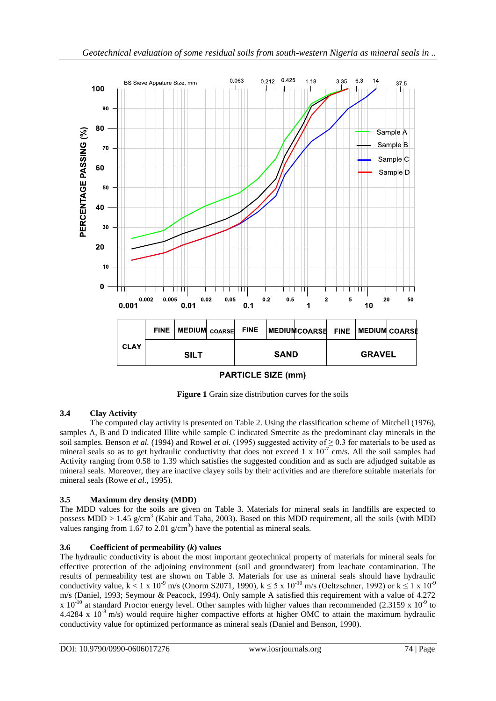

**PARTICLE SIZE (mm)** 

**Figure 1** Grain size distribution curves for the soils

## **3.4 Clay Activity**

The computed clay activity is presented on Table 2. Using the classification scheme of Mitchell (1976), samples A, B and D indicated Illite while sample C indicated Smectite as the predominant clay minerals in the soil samples. Benson *et al.* (1994) and Rowel *et al.* (1995) suggested activity of  $\geq$  0.3 for materials to be used as mineral seals so as to get hydraulic conductivity that does not exceed  $1 \times 10^{-7}$  cm/s. All the soil samples had Activity ranging from 0.58 to 1.39 which satisfies the suggested condition and as such are adjudged suitable as mineral seals. Moreover, they are inactive clayey soils by their activities and are therefore suitable materials for mineral seals (Rowe *et al.,* 1995).

### **3.5 Maximum dry density (MDD)**

The MDD values for the soils are given on Table 3. Materials for mineral seals in landfills are expected to possess MDD > 1.45  $g/cm<sup>3</sup>$  (Kabir and Taha, 2003). Based on this MDD requirement, all the soils (with MDD values ranging from 1.67 to 2.01  $g/cm<sup>3</sup>$ ) have the potential as mineral seals.

### **3.6 Coefficient of permeability (***k***) values**

The hydraulic conductivity is about the most important geotechnical property of materials for mineral seals for effective protection of the adjoining environment (soil and groundwater) from leachate contamination. The results of permeability test are shown on Table 3. Materials for use as mineral seals should have hydraulic conductivity value, k < 1 x 10<sup>-9</sup> m/s (Onorm S2071, 1990), k  $\leq$  5 x 10<sup>-10</sup> m/s (Oeltzschner, 1992) or k  $\leq$  1 x 10<sup>-9</sup> m/s (Daniel, 1993; Seymour & Peacock, 1994). Only sample A satisfied this requirement with a value of 4.272 x 10<sup>-10</sup> at standard Proctor energy level. Other samples with higher values than recommended (2.3159 x 10<sup>-9</sup> to  $4.4284 \times 10^{-8}$  m/s) would require higher compactive efforts at higher OMC to attain the maximum hydraulic conductivity value for optimized performance as mineral seals (Daniel and Benson, 1990).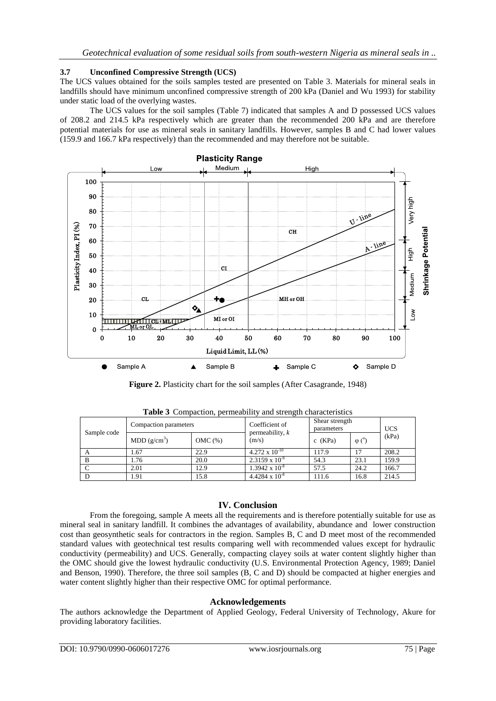### **3.7 Unconfined Compressive Strength (UCS)**

The UCS values obtained for the soils samples tested are presented on Table 3. Materials for mineral seals in landfills should have minimum unconfined compressive strength of 200 kPa (Daniel and Wu 1993) for stability under static load of the overlying wastes.

The UCS values for the soil samples (Table 7) indicated that samples A and D possessed UCS values of 208.2 and 214.5 kPa respectively which are greater than the recommended 200 kPa and are therefore potential materials for use as mineral seals in sanitary landfills. However, samples B and C had lower values (159.9 and 166.7 kPa respectively) than the recommended and may therefore not be suitable.



**Figure 2.** Plasticity chart for the soil samples (After Casagrande, 1948)

| Sample code | Compaction parameters   |           | Coefficient of<br>permeability, $k$ | Shear strength<br>parameters |               | <b>UCS</b> |
|-------------|-------------------------|-----------|-------------------------------------|------------------------------|---------------|------------|
|             | MDD(g/cm <sup>3</sup> ) | $OMC(\%)$ | (m/s)                               | $c$ (KPa)                    | $\varphi$ (°) | (kPa)      |
|             | 1.67                    | 22.9      | $4.272 \times 10^{-10}$             | 117.9                        | 17            | 208.2      |
| B           | 1.76                    | 20.0      | $2.3159 \times 10^{-9}$             | 54.3                         | 23.1          | 159.9      |
|             | 2.01                    | 12.9      | $1.3942 \times 10^{-8}$             | 57.5                         | 24.2          | 166.7      |
|             | 1.91                    | 15.8      | $4.4284 \times 10^{-8}$             | 111.6                        | 16.8          | 214.5      |

**Table 3** Compaction, permeability and strength characteristics

### **IV. Conclusion**

From the foregoing, sample A meets all the requirements and is therefore potentially suitable for use as mineral seal in sanitary landfill. It combines the advantages of availability, abundance and lower construction cost than geosynthetic seals for contractors in the region. Samples B, C and D meet most of the recommended standard values with geotechnical test results comparing well with recommended values except for hydraulic conductivity (permeability) and UCS. Generally, compacting clayey soils at water content slightly higher than the OMC should give the lowest hydraulic conductivity (U.S. Environmental Protection Agency, 1989; Daniel and Benson, 1990). Therefore, the three soil samples (B, C and D) should be compacted at higher energies and water content slightly higher than their respective OMC for optimal performance.

#### **Acknowledgements**

The authors acknowledge the Department of Applied Geology, Federal University of Technology, Akure for providing laboratory facilities.